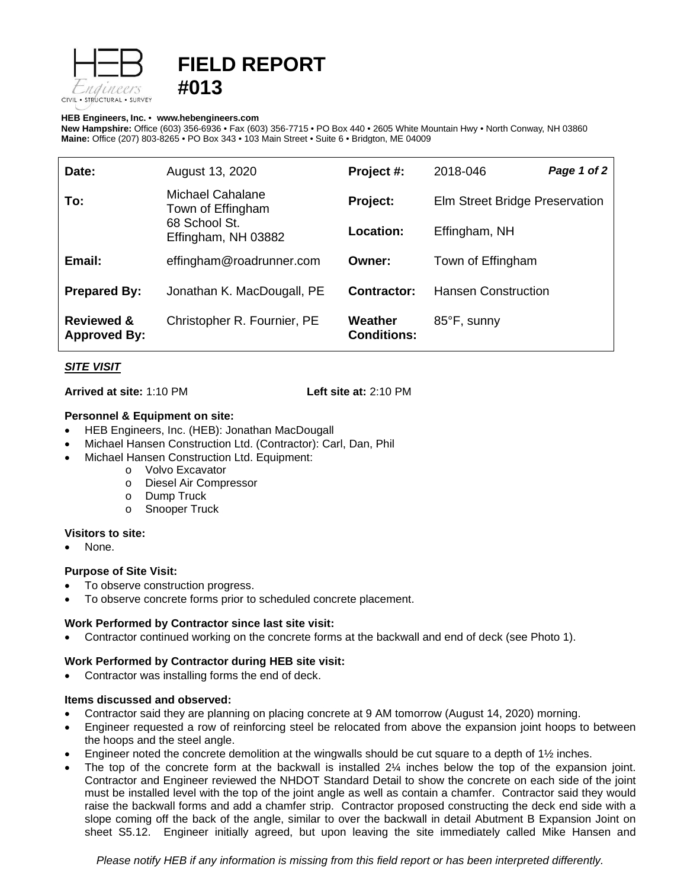

# **FIELD REPORT #013**

#### **HEB Engineers, Inc.** • **[www.hebengineer](http://www.hebengineers.com/)s.com**

**New Hampshire:** Office (603) 356-6936 • Fax (603) 356-7715 • PO Box 440 • 2605 White Mountain Hwy • North Conway, NH 03860 **Maine:** Office (207) 803-8265 • PO Box 343 • 103 Main Street • Suite 6 • Bridgton, ME 04009

| Date:                                        | August 13, 2020                                                               | Project #:                    | 2018-046                       | Page 1 of 2 |
|----------------------------------------------|-------------------------------------------------------------------------------|-------------------------------|--------------------------------|-------------|
| To:                                          | Michael Cahalane<br>Town of Effingham<br>68 School St.<br>Effingham, NH 03882 | Project:                      | Elm Street Bridge Preservation |             |
|                                              |                                                                               | <b>Location:</b>              | Effingham, NH                  |             |
| Email:                                       | effingham@roadrunner.com                                                      | Owner:                        | Town of Effingham              |             |
| <b>Prepared By:</b>                          | Jonathan K. MacDougall, PE                                                    | Contractor:                   | <b>Hansen Construction</b>     |             |
| <b>Reviewed &amp;</b><br><b>Approved By:</b> | Christopher R. Fournier, PE                                                   | Weather<br><b>Conditions:</b> | 85°F, sunny                    |             |

## *SITE VISIT*

**Arrived at site:** 1:10 PM **Left site at:** 2:10 PM

## **Personnel & Equipment on site:**

- HEB Engineers, Inc. (HEB): Jonathan MacDougall
- Michael Hansen Construction Ltd. (Contractor): Carl, Dan, Phil
- Michael Hansen Construction Ltd. Equipment:
	- o Volvo Excavator
	- o Diesel Air Compressor
	-
	- o Dump Truck<br>o Snooper True **Snooper Truck**

#### **Visitors to site:**

None.

## **Purpose of Site Visit:**

- To observe construction progress.
- To observe concrete forms prior to scheduled concrete placement.

## **Work Performed by Contractor since last site visit:**

• Contractor continued working on the concrete forms at the backwall and end of deck (see Photo 1).

## **Work Performed by Contractor during HEB site visit:**

• Contractor was installing forms the end of deck.

#### **Items discussed and observed:**

- Contractor said they are planning on placing concrete at 9 AM tomorrow (August 14, 2020) morning.
- Engineer requested a row of reinforcing steel be relocated from above the expansion joint hoops to between the hoops and the steel angle.
- Engineer noted the concrete demolition at the wingwalls should be cut square to a depth of 1½ inches.
- The top of the concrete form at the backwall is installed 2¼ inches below the top of the expansion joint. Contractor and Engineer reviewed the NHDOT Standard Detail to show the concrete on each side of the joint must be installed level with the top of the joint angle as well as contain a chamfer. Contractor said they would raise the backwall forms and add a chamfer strip. Contractor proposed constructing the deck end side with a slope coming off the back of the angle, similar to over the backwall in detail Abutment B Expansion Joint on sheet S5.12. Engineer initially agreed, but upon leaving the site immediately called Mike Hansen and

*Please notify HEB if any information is missing from this field report or has been interpreted differently.*